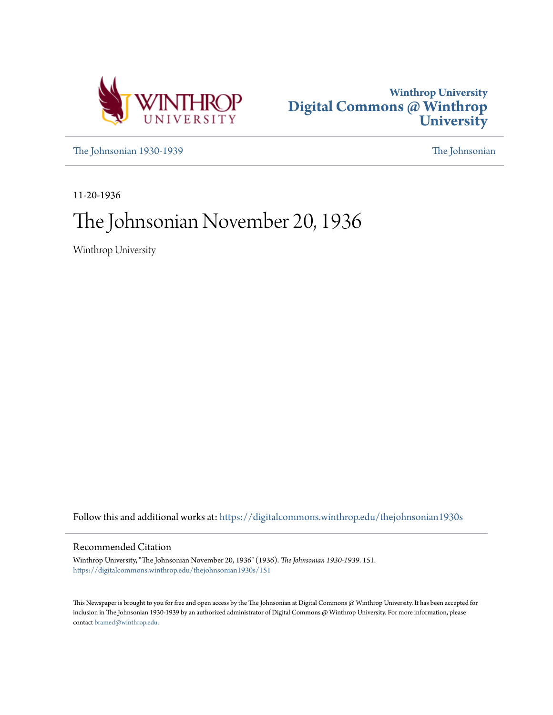



[The Johnsonian 1930-1939](https://digitalcommons.winthrop.edu/thejohnsonian1930s?utm_source=digitalcommons.winthrop.edu%2Fthejohnsonian1930s%2F151&utm_medium=PDF&utm_campaign=PDFCoverPages) [The Johnsonian](https://digitalcommons.winthrop.edu/thejohnsonian_newspaper?utm_source=digitalcommons.winthrop.edu%2Fthejohnsonian1930s%2F151&utm_medium=PDF&utm_campaign=PDFCoverPages)

11-20-1936

# The Johnsonian November 20, 1936

Winthrop University

Follow this and additional works at: [https://digitalcommons.winthrop.edu/thejohnsonian1930s](https://digitalcommons.winthrop.edu/thejohnsonian1930s?utm_source=digitalcommons.winthrop.edu%2Fthejohnsonian1930s%2F151&utm_medium=PDF&utm_campaign=PDFCoverPages)

### Recommended Citation

Winthrop University, "The Johnsonian November 20, 1936" (1936). *The Johnsonian 1930-1939*. 151. [https://digitalcommons.winthrop.edu/thejohnsonian1930s/151](https://digitalcommons.winthrop.edu/thejohnsonian1930s/151?utm_source=digitalcommons.winthrop.edu%2Fthejohnsonian1930s%2F151&utm_medium=PDF&utm_campaign=PDFCoverPages)

This Newspaper is brought to you for free and open access by the The Johnsonian at Digital Commons @ Winthrop University. It has been accepted for inclusion in The Johnsonian 1930-1939 by an authorized administrator of Digital Commons @ Winthrop University. For more information, please contact [bramed@winthrop.edu](mailto:bramed@winthrop.edu).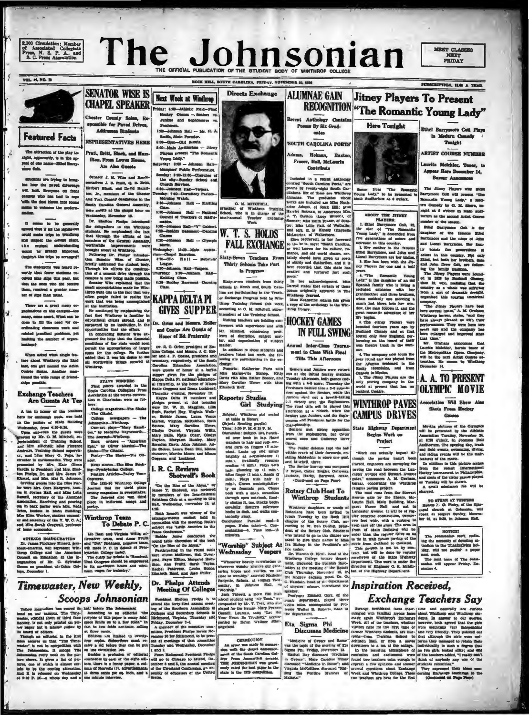2,100 Circulation: Member<br>of Associated Collegiate<br>Press, N. S. P. A., and<br>S. C. Press Association



Next Week at Winthrop

viday: 4:00-Athletic Pield-Pine

Prothnen.<br>4:00—Jehnson.<br>5:00—Jehnson. Hall — Mr. H. A.<br>5:00—Oym—Olri Scouts.<br>8:00—Main Andientum — Jiingy

n Rall

re and tlop

 $\alpha$  $= -6$ 

Players present<br>Young Lody."

the city-8

orning W

 $x: 850 - 30$ 

Johnson Hall<br>Johnson Hall<br>V: 7:23-P

**Hall**<br>eacher

LIKA, FRIDAY, NOVER **ER 20, 1930** 

SUBSCRIPTION, SLO A TEAM



VOL. 14, NO. 10

### **Featured Facts**

The attraction of the play tomight, apparently, is in the ap- $-$  Only.

Students are trying to leng-<br>has have the paved driveways<br>will leok. Sveryone on front<br>campus who has had to cope<br>with the dust hierm into rooms a to welcome the a

 $\begin{tabular}{ll} $3$, & means & to & be generally  
agroot that if all the logidator-  
quard that if all the logidator-  
and language the confidence  
that is a  
subequation of length and,  
be a red and the logdator-  
wood in  $\widehat{W}$  generally  
ingroup-  
Coujdrh't the triple be arranged$ 

statement was heard re-The statement was near<br>criving that forever statement re-<br>crived hine align this year, but<br>that the ones who did receive<br>them, received a greater num-<br>ter of slips than usual.

re are a great meny ornimations on the campus—too<br>my, seems assert, What can be<br>no to fill the need for coting classroom work and<br>i practical problems, yet  $4d<sub>2</sub>$ aber of orga

When asked what single fea-<br>ture about Windkrop she liked<br>bast, one girl named the Artist ne Surias. Another men-<br>ed the wide range of friendnomible.

### **Exchange Teachers** Are Guests At Tea

A tea in honor of the teache here for exchange week, was held in the parlors of Main Building

near or consume weak, the pattern of Main Smilling<br>in the pattern of Main Smilling<br>Worldands, from 4:1964-30.<br>Wearen of the gradient of Training School and the pattern side and is seen,<br>weak by the consumer of Training Sch

ATTENDS BIAUGUEATION<br>Dr. James Finchney Klaard, pres-<br>ent-eneritus, will represent Win-<br>rrop College and the American<br>quarti on Education at the in-<br>symmion of Mr. C. Sylvater man president<br>m as president

Timewaster, New Weekly,

**CHAPEL SPEAKER** Chester County Solen, Responsible for Paveal Drives, Addresses Students **REPRESENTATIVES HERE** 

**SENATOR WISE IS** 

Pratt, Britt, Black, and Har Sten, From Lower Hous Are Also Guesta

Senator J. M. Wiss and Representatives J. B. Frait, Q. B. Rritt, Hierbert Black, and David Ramilton, Jr., marshers, of the Chester Assembly and South Garolina General Assembly<br>South Carolina General Assembly of the Chester ion, Jr., manisers of the Chester control of the Chester of the Chester and Youty delegations in the control density were general as the change horor on the chemical control of the change interaction of the change in the

shason<br>il of Te 1:00-Johnson 3 on Hall-'Y' O  $OL = 10$  $ma = MaH \rightarrow OH$ Movie

eday: 13:30 Main Audito um-Chapel Euercissa.<br>4:30-Cillo Rall - Debater

League.<br>
6:30-Johnson<br>
Thursday: 2:30<br>
Knitting Cle m Hall-Ve

4:30-Ro **KAPPA DELTA PI GIVES SUPPER** 

Dr. Grier and Me

it the appropriation of larger<br>I for the college. He further<br>d that it was his desire to see<br>worthwhile things secured al

STATE WINDERES<br>First places awarded in the<br>jouth Carolina Collegiate Fress<br>smelation at the recent conven $n \in \mathbb{C}$ 

tows:<br>College magazines-The Shake ...The Citadel.<br>
college asweys permutation of the Johnson of the state of the state<br>
on-ty Maddine Hayar Hamilton.<br>
On-ty Maddine Hayarswith<br>
The Jeannal Winkins Hayarswith<br>
Explore the Manual The Shake-The Cit-<br>
Potty-T

ndel.<br>
News stories-The Educ Stock-<br>ing-Presbyterian College.<br>
Feature Articles-Farley Voc-

Feature Attorney Description Contract Contract Contract Contract Contract Contract Contract Contract Contract Contract Contract Contract Contract Contract Contract Contract Contract Contract Contract Contract Contract Cont "On the Rim of the Abyss," by<br>ames T. Shotwell, was reviewed hense<br>hy members or the me<br>Relations Club at a me<br>thanks, Nov

### Winthrop Team<br>To Debate P. C

precessor and Vietname and Vietname and Vietname and American Tool (113) financies and Tool and Tool and Tool and Tool and Tool and Tool and Tool and Tool (12) financial precision College body.<br>
Mark the set of the set of

# Dr. Phelps Attends<br>Meeting Of Colleges

I. R. C. Reviews<br>Shotwell's Book

Directs Exchange **ALUMNAE GAIN** Recent Anthology Co O

Poems By Six Grad-

uates

 $Holman$ 

**Contribute** 

mry.

Annual Inter-Class To

ment to Clear With Final

Tilta This Afternoon

O. M. MITCHELL arop Tra Is in charge of the<br>Teacher Exchange<br>Week



Sixty-Seven Teachers From Thirty Schools Take Part la Program

Sizuy-neven teachers from thirty<br>schools in North and South Caro-<br>lina are participating in the Teachine<br>are processing Program held by Win-<br>throp Training School this week,<br>according to O. M. Mitchell, super-

according to G. M. Mittchell, super-<br>intendent of the Training School.<br>Visiting tenchers are holding con-<br>iterates with approximate probability probability.<br>Mitter of discipline, subject maintains and expansion of subject<br> **HOCKEY GAMES** 

sera. Holle and Contes Are Guests of nor of Ed. Fraternity

from<br>or of Ed. Fr2d4rraily<br>Dr. R. C. Orier, preident of Euclide, and Means 4. O. Hol-<br>him Collegs, and Means 4. O. Hol-<br>him collegs, and Means 4. O. Hol-<br>him a Education Association Association of the South Server guests o matter.<br>In addition to those students and<br>teachers listed last week, the fol-<br>tehange:<br>change:



**Jitney Players To Present** 

Some from "The Rome<br>Young Lady," to be presente<br>Main Auditorium at 8 o'clock.

ABOUT THE JITNET<br>
1. Ethel Barrymore Coli, 23, the star of The Romandic<br>
Tours Lady, 7 is described from<br>
flyers generations of selects from<br>
actronacies in this country,<br>
2. Her mother is the famous<br>
2. Dan has been with

ney Players for one and a half

ney Players for one and the second of the second in the language of an old state of an old state of an old state and the product of an old state of an old state of an old state of an internal wide of the state of the stat

great romantic adventure of ner life begins.<br>
1 de legismo, altroy Piayers were Lounded fourtern years ago by<br>
Daudned Contern years and at first<br>
Daudned Chray and at first<br>
Lound only New England, performing on the bound **IN FULL SWING** 

WINTHROP PAVES Association Will Show Also

omores and Preshmen battle for the Senator and Preshmen battle for the spheromen, tell Cover the Senator and Calibrary lines accred ones and Calibrary lines are the ball within resert of the ball of the Senator defense ha

A the same state in the same state in the same state in the same state in the same state in the same state in the same state in the same state in the same state in the same state in the same state in the same state in the Fractional, played three constraints in the state of the state of the state of the state of the state of the state of the department.<br>
The department of the state of the state of the state of the state of the state of the

Ethel Barrymore Colt Plays In Medern Cemedy<br>Tonight

**ARTIST COURSE NUMBER** 

Lauritz Meichior, Tonor, Appear Here Descuber 14, Burnar Announces

The Jinny Piayers with Hind $\Phi a$ rymore Coli will present "The Ronnells Young Lady," a Media such and the victor in Main such lattice to the second Artist Cornells and the victor of the second Artist Course number of the s

number of the samen.<br>
Ellis Barrymore Cott is fine Ellis Barrymore and the misses of Main<br>
Ellis Barrymore and the misses of Main<br>
and Lossel Barrymore and the misses of Main<br>
and Lossel Barrymore. Here from the same of M

From a set of drumatic drought couple, one of the state drought one and the vertex that the base of the state of the state of the base of the state of the state of the parameter of the parameter of the parameter of the st

Shots From Hockey<br>Games

Moving pictures of the Olympics<br>will be presented by the Albibits<br>Annotation Tescalay, November 3A and 430 o'clock. In Johnson Field<br>and 430 o'clock. In Johnson Field<br>and field events, swimming day, tracks, which will als

TO SPEAK AT VESPERS<br>Bishop  $\Sigma$ . O. Paley, of the Epison character at Columbia, with<br>epeak at vespers Sunday, Neven-<br>ber 23, at 6:36, in Johnson Hall.

MOTION! um:<br>n. staff, yeal The Johnsenian staff, realisting the necessity of devening a<br>lemation to the Theaderly devening all-iden, will not publish: a paper<br>hand week. The mainlane will not publish: a paper paper Priday, Decession<br>and are will ap

### **Inspiration Received, Exchange Teachers Say**

SCOOPS John SONIGN Previous Section Photograph Colleges.<br>
Tuber journalism has reared its half before The Johnsonhal and the forty-first anomal meet-<br>
and on our capper, and a control and the forty-first anomal meet-<br>
wea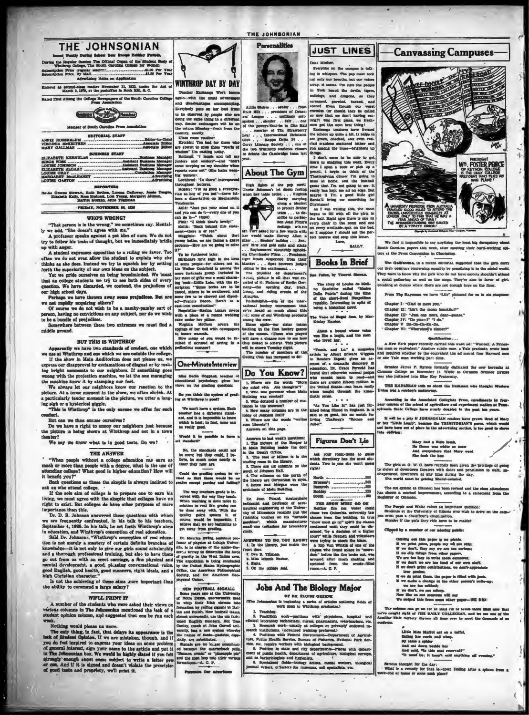| <b>THE JOHNSONIAN</b><br>launed Wookly During School Your Except Heliday Periods.<br>During the Regular Session The Official Organ of the Student Body of<br>Winthrop College, The South Carolina College for Women<br>Advertising Hates on Application                   | WINTHROP DAY BY DAY<br>Teacher Exchange Week booms<br>again-with the usual advantages<br>and disadvantages accompanying<br>Everybody puts on her best front<br>to be observed by neonie who are<br>doing the same thing in a different<br>way. Senior exchangers will be on<br>the return Monday-fresh from the<br>country, mostly.<br>Class room routine:<br>Ketchin: Too had for those who<br>are absent to miss these "pearls of<br>wisdom" I'm casting today.<br>Rollings: "I laugh and tell my<br>juniors and authors"-and "don't<br>come weeping on my shoulder when<br>reports come out" (She hates weep-<br>ing women).<br>Lochhead: "In there" interspersed<br>throughout lectures.<br>Rogers: "I'm as good a Presbyte-<br>rian as any of you but"-there fol-<br>lows a dissertation on Mechanistic<br><b>Tendencias</b> . |
|---------------------------------------------------------------------------------------------------------------------------------------------------------------------------------------------------------------------------------------------------------------------------|-------------------------------------------------------------------------------------------------------------------------------------------------------------------------------------------------------------------------------------------------------------------------------------------------------------------------------------------------------------------------------------------------------------------------------------------------------------------------------------------------------------------------------------------------------------------------------------------------------------------------------------------------------------------------------------------------------------------------------------------------------------------------------------------------------------------------------------|
| Entered as second-class matter Hovember 21, 1923, under the Act of<br>March 2, 1879, at the pustoffice in Rock Hill, S. C.                                                                                                                                                |                                                                                                                                                                                                                                                                                                                                                                                                                                                                                                                                                                                                                                                                                                                                                                                                                                     |
| Rated Tirst Among the Collage Newspapers of the South Carolina Collage<br><b>Press Association</b><br>Mamber of South Carolina Press Association                                                                                                                          |                                                                                                                                                                                                                                                                                                                                                                                                                                                                                                                                                                                                                                                                                                                                                                                                                                     |
| <b>EDITORIAL STAFF</b><br><b>BUSINESS STAFF</b><br><b>BEPORTERS</b><br>Hattle Greene Stewart, Ruth Bethes, Lorena Galloway, Jessie Teagua,<br>Elizabeth Kelly, Rose Rudnick, Lois Young, Margaret Altman,<br>Harrist Morgan, Anne Tilghman                                |                                                                                                                                                                                                                                                                                                                                                                                                                                                                                                                                                                                                                                                                                                                                                                                                                                     |
| <b>FRIDAY, NOVEMBER 36, 1936</b>                                                                                                                                                                                                                                          | Auld: "Just put your mind on it<br>and you can do it-every one of you                                                                                                                                                                                                                                                                                                                                                                                                                                                                                                                                                                                                                                                                                                                                                               |
| <b>WHO'S WRONG?</b><br>"That person is in the wrong," we sometimes say. Mental-<br>ly we add, "She doesn't agree with me."<br>A professor speaks against a pet idea of ours. We do not<br>try to follow his train of thought, but we immediately bridle<br>up with anger. | can de il-" (true)<br>Fink: "I think that's lovely!"<br>Keith; "Back behind this state-<br>ment-there is or ror."<br>Magginis: "Think about thet<br>young ladies, we are facing a grave<br>problem-How are we going to solve<br>tames at                                                                                                                                                                                                                                                                                                                                                                                                                                                                                                                                                                                            |

in with anger.<br>
A raturate represses opposition to a ruling we favor. Too often we do not even allow the student to explain why ahe thinks as also does. Instead we try to squeleb her by setting forth the superiority of ou

person, having no convictions on any subject, nor do we wish

Somewhere between these two extremes we must find. middle ground.

### BUT THIS IS WINTHROP

our and to the standards of conduct, one which<br>we have two standards of conduct, one which<br>we use at Winthrop and one which we use outside the college<br>if the above in Main Anditorium does not please us, we<br>express our disa ong with the projection machine, we let the oue managing<br>machine know it by stamping our feet.

the measure anyw it our neighbors know our reaction to the picture. At a tense moment in the show, we often shrick. At a particularly tender moment in the show, we often shrick. At a particularly tender moment in the pictu

But can we thus excuse ourselves?<br>Do we have a right to amony our neighbors just because<br>the picture is being shown at Winthrop and not in a town<br>then  $\mathbb R^n$ We say we know what is in good taste. Do we?

### **THE ANSWER**

"When people without a college education can earn as<br>much or more than people with a degree, what is the use of<br>attending college? What good is higher education? How will

attending college? What good is nigher equivalent . seven minimum college.<br>Blueh questions as these the skeptic is always inclined to ask as who attend college.<br>
If the note aim of college is to prepare one to earn his<br>
l ortance than this.

importance than this.<br>
Dr. D. B., Johnana anawered these questions with which<br>
we are frequently confronted, in his talk to his teachers,<br>
September 4, 1926. In his talk, he set forth Winthrop's simple<br>
in education.<br>
In

Is not the achieving of these aims .nore important that<br>a ability to command a large salary? the ability to com

### WE'LL PRINT IN

A number of the students who were asked their views on<br>various columns in The Johnsenkan mentioned the lack of a<br>student opinion column, and suggested that one be run each

weak. Nothing would please us more.<br>The only thing, in fact, that delays its appearance is the lack of Situbeat Options. If we are mistaken, though, and if you all of Situbeat Option you do feel impired to express your ide



THE JOHNSONIAN

uge Week be<br>usual advant the us antages accompanyi vats on her best fr

 $\begin{minipage}{0.5\textwidth} \begin{tabular}{|c|c|} \hline & \multicolumn{2}{|c|}{\textbf{3.6\textwidth}} & \multicolumn{2}{|c|}{\textbf{3.6\textwidth}} & \multicolumn{2}{|c|}{\textbf{6.6\textwidth}} & \multicolumn{2}{|c|}{\textbf{6.6\textwidth}} & \multicolumn{2}{|c|}{\textbf{6.6\textwidth}} & \multicolumn{2}{|c|}{\textbf{6.6\textwidth}} & \multicolumn{2}{|c|}{\textbf{6.6\textwidth}} & \multicolumn{2}{|c|}{\textbf{6.6\textwidth}} & \multicolumn{2$ ved by people who are<br>ume thing in a different<br>exchangers will be on<br>donday--fresh from the

problem—How are we going to solve<br>  $W^*$ <br>  $W^*$ <br>  $W^*$ <br>  $W^*$ <br>  $W^*$ <br>  $W^*$ <br>  $W^*$ <br>  $Bichthary rank high. In the 10% of  
on people—for other points and the  
non-  
tion of the two  $Bichler and the  
hor-  
tion of the two  $Bichler$ , which has  
asymptotic. The number of the 10% of  
non-  
lattice, then the 10% of  
non-  
formal and the  
non-  
formal, then the 10% of  
non-  
formal, the 1$$ 

**One-MinuteInterview** Miss Sadie Coggans, ter<br>ducational mychology, at phes ducational puyessessy;<br>lews on the grading q De you think the system of green,<br>ug at Winthrop is good? We next have a system. Each tender has a different standard, and it is impossible to know which is best; in fact, none can be really good.

Would it be possible<br>vi standard?

No, the standards could not<br>be even; but they could,  $2$  be-<br>lieve, be much more nearly so<br>than they now are.

. This plateau beam<br>in Main Bealth continue beam of Main Beam's Office, the set of Miller<br>region in the Harary, or continue of a Theorem of the momentum of<br>particle of Johnson Hall the particle of Main Beam<br>in the library Could the grading system be vi-<br>ford as that there would be no<br>rades except passing and falling?

The way is sade as a same of the state of the state of the When tendents is done more in the forest of the done area y with. With the state and yours, would be impossible. If the state and yours, would be impossible. If be

Dr. Maurice Ewing, amistant |<br>|essor of physics at Lahigh Unit<br>|tiy, is in charge of the under- $-$ the 

physical Union<br>
NEW FOOTBALL, 81GIVALES<br>
NEW FOOTBALL, 81GIVALES<br>
NEW FOOTBALL, 81GIVALES<br>
16 Give years ago at the University<br>
16 whilp their first derived into the China<br>
Internation by reling signals in flui-<br>
Internati

**Patron Car Adv**  **JUST LINES** 

Dear Mother,  $\overline{\phantom{a}}$ ne on the Everyone on any changes is an not only our breaths, but our voice away, it seems. I'm sure the people<br>in York heard the devils, tigers

away. M. seema. The sum of the people of the second temperature of the second formula from the second of the second of the second state of the second state of the second state of the second state of the second state of th

**About The Gym** High lights of the pap meet

Their demands in the space of the space of the space of the space of the space of the space of the space of the space of the space of the space of the space of the space of the space of the space of the space of the space

Love, BALLY.

### **Books In Brief** ee, by Vincent Sk

# ing Cherricades Pilva ... Freshmen:<br>
ing Cherricades Timon the Leight shahket ..., Spati between Judges<br>
Jalanket ..., Spati between Judges<br>
-diding to the excitement ...<br>
The physical ed department<br>  $\frac{1}{2}$ ............ The story of Louisa de Mollon politics called "Music" called "Music" carrier" during the time point republic. Interesting to spite  $\alpha$  being a historical novel.

The Veice of Hugal Ann, by<br>Kinlay Kantor.

Absut a hound whose voice was like a lengte, and the man who loved latr.

neary-<br>and riding events of the Paperson and riding events of the Paperson<br>means that a palachelphia-bila of the inter-<br>anticous hoches to much about this area are reversed to much about this<br>impact that on more about the -Touch, and Lo, a magnitude of the magnitude by Albert Digeant Wegnum and the magnitude count of a denoming given an actional control and the control of formal control and for the property of the United States-can beam ea Do You Know?

Now the second and the second and the second and the second and the second and the second second and the second second and the second second and the second second second and the second second second and the second second s  $\cdots$ 

 $\begin{tabular}{ll} & \circ & \circ & \circ \\ \hline \hline \end{tabular} \hline \text{and along finding $m$-rad and in the original image. It is said to be good, but no match for Irving. Tablerg's ``Romoo' and Julius'''. \end{tabular}$ 

### Answers to last week's questions:<br>1. The picture of the Reaper is<br>3 Main Building beside the door<br>5 the Dean's Office. Figures Don't Lie

Ask your room-mate to guess<br>which downstory has the most stu-<br>dents. Two to one she won't guess isdai

> North a

Form and Pleard, strategy<br>desilionals and professor of sero-<br>national explorering at the University of Minnesota recently put the<br>finaliting touches on his "tornado<br>mealing", which manufacturers<br>mealing", which manufacture  $\begin{tabular}{ll} 0 & 000\% \\ \hline & 100\% \\ \hline & 100\% \\ \hline & 100\% \\ \hline & 100\% \\ \hline & 100\% \\ \hline & 100\% \\ \hline & 100\% \\ \hline & 100\% \\ \hline & 100\% \\ \hline & 100\% \\ \hline & 100\% \\ \hline & 100\% \\ \hline & 100\% \\ \hline & 100\% \\ \hline & 100\% \\ \hline & 100\% \\ \hline & 100\% \\ \hline & 100\% \\ \hline &$ 

ANSWERS TO DO, YOU KNOW: 1. In the library, just inside the

aroused after much shaking a sprinted from the smoke-fill room.--A. C. P.

### **Jobs And The Biology Major** BY DR. SLOVES GREET

1. In the inetary, just<br>2. Een R. Tilman.<br>3. Een R. Tilman.<br>4. Eight.<br>4. Eight.<br>5. On the collage seal.

mie Parker.

as is beginning a series of articles cuttining fields of work open to Winthrop graduates.)

(The Johanness work open to Witchcop grows<br>and and 1. Techniq, work open to Witchcop grows and this<br>scalar behaviour over point (2. Proprime that the contract of the S. Research work-amaily at collapse or privately endowe





sible to say anything the least big de<br>rs this week, after meeting their has We fied it imp ing their harda papers this we rs at the Press Convention in Charleston.

The Guilfordina, in a recent editorial, suggested that the girls carry their opinions concerning equality by practicing it in the adeial world.<br>Their opinions concerning equality by practicing it in the adeial world. ut their opinions concer social gathering as well as the stage. They're also in favor of girl-reaking at dunces where there are not enough loys on the floor.

From The Kaystens we have "Life" plotured for us in six ch

Chapter 1: "Olad to meet you."

Campter II: "Teat the monn beautiful?"<br>Chapter II: "Teat the monn beautiful?"<br>Chapter III: "Jest one more, dear-pees<br>Chapter IV: "De you-"" Io."<br>Chapter VI: "Whereinsil's dimer?"<br>Chapter VI: "Whereinsil's dimer?"

**Qualification** 

A New York paper recently carried this want ad: "Wanted: A Prince-<br>In man or equivalent." Another subtle man, a Yale graduate, wrote bask<br>of inquired whether by the equivalent the ad meant four Harvard men<br>one Yale man wo

Senator James F. Byrnes formally dedicated the new barracks<br>emson College on November 14. While at Cleason Senator Dyn<br>us also initiated into Blue Hey Fraternity.

THE HAYSERAN tops as shout the freshman who thought

According to the Amechian Collegiate From, curoliments in formulation of the schedule digential contents states and experiment states at Perture of the college have creatly doubled in the past tem years.

It will be a pity if JOHNBONIAN readers have grown tired of Mr ber "Little Lamb", because the TRINITORIAN'S poem, which would be a ber solver to a phase in the advertising section, is too good to she

## Mary had a Bitle lamb,<br>Ila flatos was white as snow<br>And overywhere that Mary went<br>She took the box.

The girls at G. W. C. have recently been given the<br>mows at downtown theaters with dates and periodic permed, downtown at any time during the day.<br>The world must be griding liberal-rainted. n the pri

The cut system at Clemeon has been revised and the class attendance<br>has shown a marked improvement, according to a statement from the<br>Registrar of Clemeon.

The Purple and While raises an important question:<br>Students at the University of Illiacis who wish to drive on the<br>mult pass a chauffeur's examination.<br>Wonder if the girls they ride have to be makin'

Clipped by a member of our ade tas se

- 
- 
- 

.<br>Now like an met nomeona witt an<br>We owiped this from nome other

 $\theta$  .<br>Little Miss Matick and on a tatfor, Little Rading her cursis and whay,<br>By came a spider .<br>And and sown beside her .<br>And said, "Is this mat reserved?" <br>"It must but it hasn't said anythin .

Serious thought for the day:<br>What is a remedy for that let-down feeling after a ryk-rod at home or some such place?

- Outling out this paper is no pleads. If we print joint, apply my we are stily: if we dent, they my are are too safes<br>in the same of the same of the same set of the same of<br> $\mathbb{W}$  we due things from other papers, if we d
- or we meaning contributions, we now approximately<br>If we do print them, the paper in filled with  $\mu$ <br>W we also a change in the other person's we were also alting in the other person's we<br>are too critical;
- 

with me

column can go on for at least rix or seven more lines new that<br>aght sight of THE DAILY COLLEGIAN, and tre see one of the nery rhymes all done over to a

-WE DID!

 $x = 12$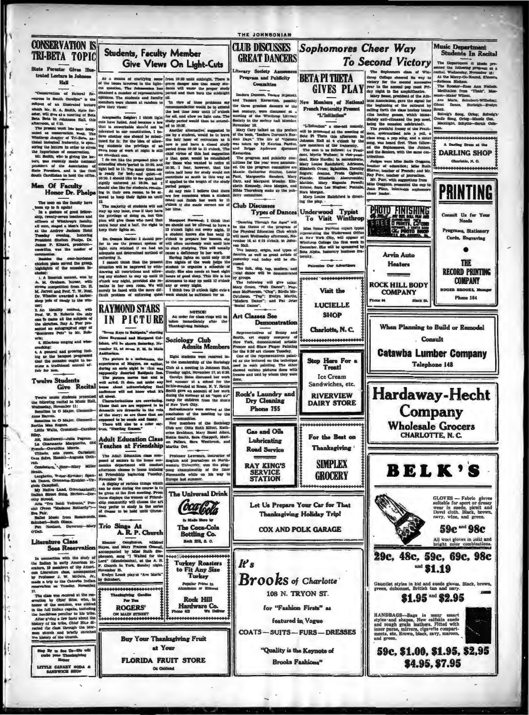THE JOHNSONIAN Music Department<br>Students In Recital **CONSERVATION IS** CLUB DISCUSSES Sophomores Cheer Way **Students, Faculty Member TRI-BETA TOPIC GREAT DANCERS** To Second Victory The Department of Manufacturers and Manufacturers and reductional receiver EN PRINCIPAL DE PRINCIPAL DE PRINCIPAL DE PRINCIPAL DE PRINCIPAL DE PRINCIPAL DE PRINCIPAL DE PRINCIPAL DE PRINCIPAL DE PRINCIPAL DE PRINCIPAL DE PRINCIPAL DE PRINCIPAL DE PRINCIPAL DE PRINCIPAL DE PRINCIPAL DE PRINCIPAL D Give Views On Light-Cuts State Forester Gives III The Suphemere chan of Win- recital, Wednesday, Hevensh change channel its way to the toward in the amplitude of the same in the same in the same in the same in the same in the same in the same state of the same in the sam Literary Society An ecilal, Wednesday, Novel<br>At the Merry-Go-Roux<br>-Rebecca Rickson trated Lecture in Johnson **GIVES PLAY** Ladon Dumann Karawain, possibly New Memory of National and Tamara Extravelse disc (1986). Manufest and the three grassies disc memory of the presch Presch Presch Presch (methanolic methanolic) in the society and Monday. " The p  $\overline{\mathbf{u}}$ oronomous<br>
Judges were Mins Badie Gogg<br>
teacher of columniary<br>
Shawar, teacher of Franch; and<br>
Har, Turr, with suggestions from<br>
Min Coggana, presented the cup<br>
date Time, unit suggestions from<br>
Jean Pinn, inimitable sopho ture, was late Poreters, and is the file Man Of Faculty The mass can be factily have<br>
The mass of goal filters and the filtration of goal filtration<br>
in the spatial of Windows in additionally, the spatial of<br>
ality, twenty-severa teachers and<br>
ality, twenty-several distinct and PHOTO FINISHING **CA PROTO SHOP Arvin Auto Heaters** cluded:<br>
1. A limerick contest, won by<br>
1., M. Grubam, bursar, with<br>
strong competition from Dr. H.<br>
M. Jarrell and Prof. T. W. Mosl.<br>
Dr. Wheeler awarded a harber-<br>
shop pole of candy to the win-<br>
shop pole of candy to th could diane was mentioned and the form of the form of the state of the Mary Green, "Plate and the state of the State of the State of the State of the State of the State of the State of Taylor State and Pat John Mary Total **ROCK HILL BODY COMPANY** i 64 **LUCIELLE** ner;<br>
2. An identity contest, with<br>
Prof. W. B. Roberts the only<br>
con b name all the subjects of<br>
the sketches, Ray A. Purr pre-<br>
the sketches, Ray A. Purr pre-**RAYMOND STARS** NOTICE!<br>An order for class rings will be<br>taken immediately after the<br>Thanksgiving holidays. **SHOP** Art Classes See IN PICTURE When Planning to Build or Remodel autographed copy of **M** 33 8 Charlotte, N.C. . Consult

3. Hilarious singing and wise- $\overline{a}$ 

creasing;<br>ing as the hangust progressed<br>that the occasion ought to be-<br>ocme a traditional annual af-<br>ocme a traditional annual af-

### **Twelve Students**

ŀz

Give Recita

Twelve music students I<br>the following recital in MV<br>Wednesday, November 11:<br>Sonatina in O Major, Cl

the Barron.<br>Sonatina in O Major, O  $\overline{a}$ riha Mas Rogers.<br>Attis Walts, Cron т

tiky,<br>Az, MacDowell-Julia Pe<br>La Charmante Margueri<br>Prench-Geruldine Murris.<br>Vitterio, mio cuore, Ca<br>Jare Selve, Handel-Auguste

dollers, ' .Soor-Mory

h.<br>rghetio, Weber-Krvia<br>Janos, Oranados-Krv<br>, Campbell.

 $\overline{10}$ Native Land, O **B** st Song.

scrong<br>Tru Beldi Vi

**fasic from<br>Ruth Glenn.**<br>wiant, Dut

### Literature Class

In connection with  $\frac{1}{1}$ , therefore Bridge In early American Brogradied can Liderature change and the Processor<br>by Professor J. W. McGula, Jr., and Bridge Bridge and the processor J. W. McGula, Jr., respectively to Ca

17.<br>The class was received at the reservation by Chief Blue, who, in<br>honor of the occasion, was attired<br>in the hull modes regalia, including<br>the headiress peculiar to his tribe. er g'ving a few facts about the sory of his trives, union in Mor-<br>case the class through the Mor-<br>on church and briefly sketched<br>o history of the church.

Ny to See Co-life will<br>also your Thankspiring<br>Honor **LITTLE CAMARY SODA &** 

Sociology Club<br>Admits Me

reador 21, at seven F. M. In Hans<br>
Andilevina. Co. (5) the membersion correlated increments of Magneta and<br>
Andilevina. Complex and matching in Schmolet control of the Sociology<br>
straining an earle sight in what was Club all short.<br>Characterizations are conveniency. Characterizations are supposed to be<br>framed in the well are are supposed to be with density in are those that are<br>originated to be coming and funny.<br>There will also be a color

social committee.<br>
New members of the Sociology<br>
ordal committee.<br>
The use Ottle Ruth Eiffeld, Karl Mary Hasel Alther<br>
Hettis Smith, Sara Chappell, Mari

Adult Education Class<br>Teaches at Friendship on Fe ers, Sara

The Adult Education class composed of seniors in the home economics department will conduct<br>afternoon classes in theme training<br>afternoon classes in home training<br>afternoon classes in home training<br>Memmber 24 protessor Lawrence, market<br>extern University, was the play<br>one championality of the line<br>ormandie while on his way

to Made Here by

The Coca-Cola<br>Bottling Co.

**Rock Hill, S. C.** 

Turkey

**Popular Prices in**<br>hundown or lines

Rock Hill

Hardware Co.

at Priendship buyon and Priendship buyon and the Secret States which display of various lables which be given at the first meeting. Prom the set of the secret of the set of the set of the set of the set of the set of the s The Universal Drink this community will choose the the prefer to study in the se Coca Coda

Trio Sings At<br>A. R. P. Church

Eleanor Canghat GAD. t, and Mary France<br>upanied by Miss R<br>on, sang "I Walted

d for Turkey Roasters<br>to Fit Any Size Lord" (h .. at the A. R. reh in York, I nigh er 15. ilyn Lrock played "Ave h

by 8

 $P = 2$ **ROGERS'** 

ON MAIN STREET

**Buy Your Thanksgiving Fruit** at Your **FLORIDA FRUIT STORE** On On



**SERVICE**<br>STATION **GROCERY** Let Us Prepare Your Car for That

Thanksgiving Holiday Trip! **COX AND POLK GARAGE** 

 $\mathbf{r}_s$ **Brooks** of Charlotte

108 N. TRYON ST. for "Fashion Firsts" as

featured in Vogue

**COATS-SUITS-FURS-DRESSES** 

"Quality is the Keynote of





**Ice Cream** Sandwiches, etc.

**RIVERVIEW DAIRY STORE** 





**BELK'S** 

GLOVES - Fabric gloves<br>sultable for sport or dressy<br>wear in suede, picnit and<br>Dovel cloth. Black, brown,<br>navy, wine, and green.

**Catawba Lumber Company** 

Telephone 148

Hardaway-Hecht

Company

**Wholesale Grocers** 

**CHARLOTTE, N. C.** 

59c and 98c

**m** at the **DARLING SHOP** 

ristis, N. C.

**PRINTING** 

Consult Us for Your

Programs, Stationery Carda, Engraving  $\bullet$ 

**THE RECORD PRINTING** 

**COMPANY** 

Phane 164

OOKS, I

All woot gloves in solid and bright color combination

29с, 48с, 59с, 69с, 98с  $=$  \$1.19

Gauntlet styles in hid and suede gloves. Black, brow<br>green, dubonnet, British tan and navy.

 $$1.95$  and  $$2.95$ 

\$4.95, \$7.95

HANDBAGS-Bags in many unart<br>styles and slapes. New califatin auced rough grain leathers. Fitted with<br>inner purse, mirrors, eigarette compart-ments, etc. Erown, black, navy, marcon,<br>and green.